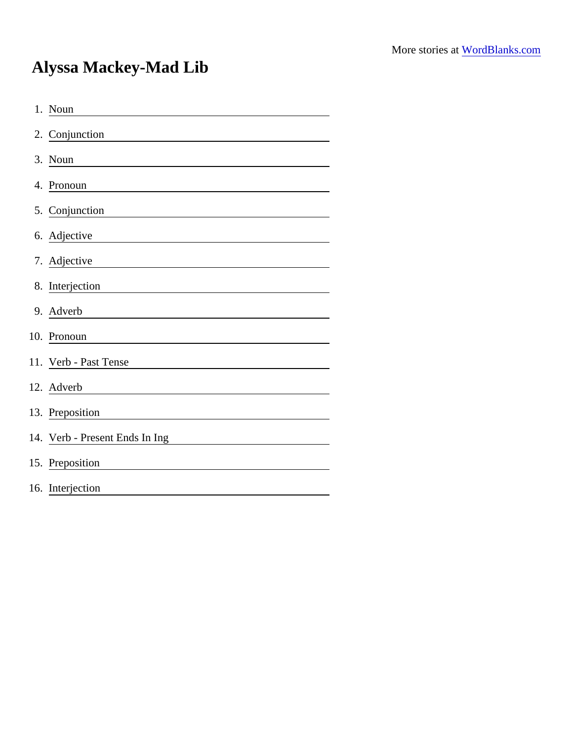## Alyssa Mackey-Mad Lib

| 1. Noun                                                                                                                            |
|------------------------------------------------------------------------------------------------------------------------------------|
| 2. Conjunction                                                                                                                     |
| 3. Noun                                                                                                                            |
| 4. Pronoun                                                                                                                         |
| 5. Conjunction                                                                                                                     |
| 6. Adjective                                                                                                                       |
| 7. Adjective                                                                                                                       |
| 8. Interjection                                                                                                                    |
| 9. Adverb                                                                                                                          |
| 10. Pronoun                                                                                                                        |
| 11. Verb - Past Tense                                                                                                              |
| 12. Adverb<br><u> 1980 - Jan Stein Stein Stein Stein Stein Stein Stein Stein Stein Stein Stein Stein Stein Stein Stein Stein S</u> |
| 13. Preposition                                                                                                                    |
| 14. Verb - Present Ends In Ing                                                                                                     |
| 15. Preposition                                                                                                                    |
| 16. Interjection                                                                                                                   |